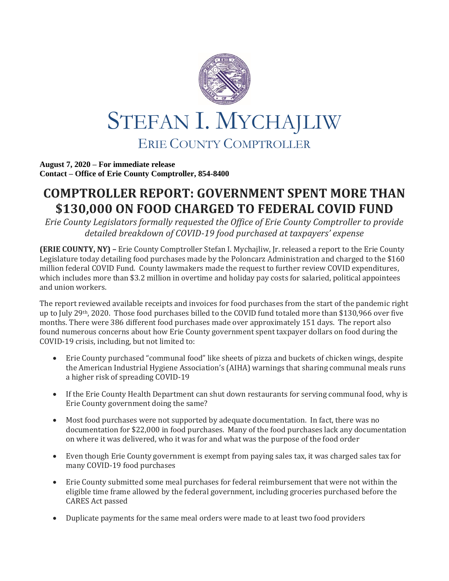

**August 7, 2020 – For immediate release Contact – Office of Erie County Comptroller, 854-8400**

## **COMPTROLLER REPORT: GOVERNMENT SPENT MORE THAN \$130,000 ON FOOD CHARGED TO FEDERAL COVID FUND**

*Erie County Legislators formally requested the Office of Erie County Comptroller to provide detailed breakdown of COVID-19 food purchased at taxpayers' expense*

**(ERIE COUNTY, NY) –** Erie County Comptroller Stefan I. Mychajliw, Jr. released a report to the Erie County Legislature today detailing food purchases made by the Poloncarz Administration and charged to the \$160 million federal COVID Fund. County lawmakers made the request to further review COVID expenditures, which includes more than \$3.2 million in overtime and holiday pay costs for salaried, political appointees and union workers.

The report reviewed available receipts and invoices for food purchases from the start of the pandemic right up to July 29th, 2020. Those food purchases billed to the COVID fund totaled more than \$130,966 over five months. There were 386 different food purchases made over approximately 151 days. The report also found numerous concerns about how Erie County government spent taxpayer dollars on food during the COVID-19 crisis, including, but not limited to:

- Erie County purchased "communal food" like sheets of pizza and buckets of chicken wings, despite the American Industrial Hygiene Association's (AIHA) warnings that sharing communal meals runs a higher risk of spreading COVID-19
- If the Erie County Health Department can shut down restaurants for serving communal food, why is Erie County government doing the same?
- Most food purchases were not supported by adequate documentation. In fact, there was no documentation for \$22,000 in food purchases. Many of the food purchases lack any documentation on where it was delivered, who it was for and what was the purpose of the food order
- Even though Erie County government is exempt from paying sales tax, it was charged sales tax for many COVID-19 food purchases
- Erie County submitted some meal purchases for federal reimbursement that were not within the eligible time frame allowed by the federal government, including groceries purchased before the CARES Act passed
- Duplicate payments for the same meal orders were made to at least two food providers